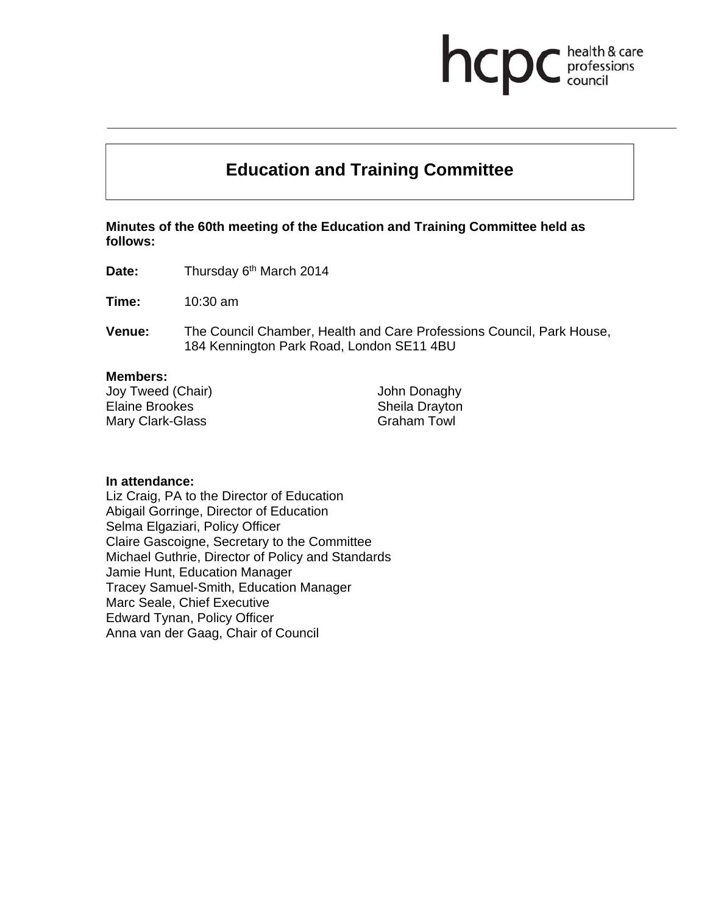# **Education and Training Committee**

hcp

health & care professions<br>council

**Minutes of the 60th meeting of the Education and Training Committee held as follows:** 

**Date:** Thursday 6<sup>th</sup> March 2014

**Time:** 10:30 am

**Venue:** The Council Chamber, Health and Care Professions Council, Park House, 184 Kennington Park Road, London SE11 4BU

#### **Members:**

Joy Tweed (Chair) Elaine Brookes Mary Clark-Glass

John Donaghy Sheila Drayton Graham Towl

#### **In attendance:**

Liz Craig, PA to the Director of Education Abigail Gorringe, Director of Education Selma Elgaziari, Policy Officer Claire Gascoigne, Secretary to the Committee Michael Guthrie, Director of Policy and Standards Jamie Hunt, Education Manager Tracey Samuel-Smith, Education Manager Marc Seale, Chief Executive Edward Tynan, Policy Officer Anna van der Gaag, Chair of Council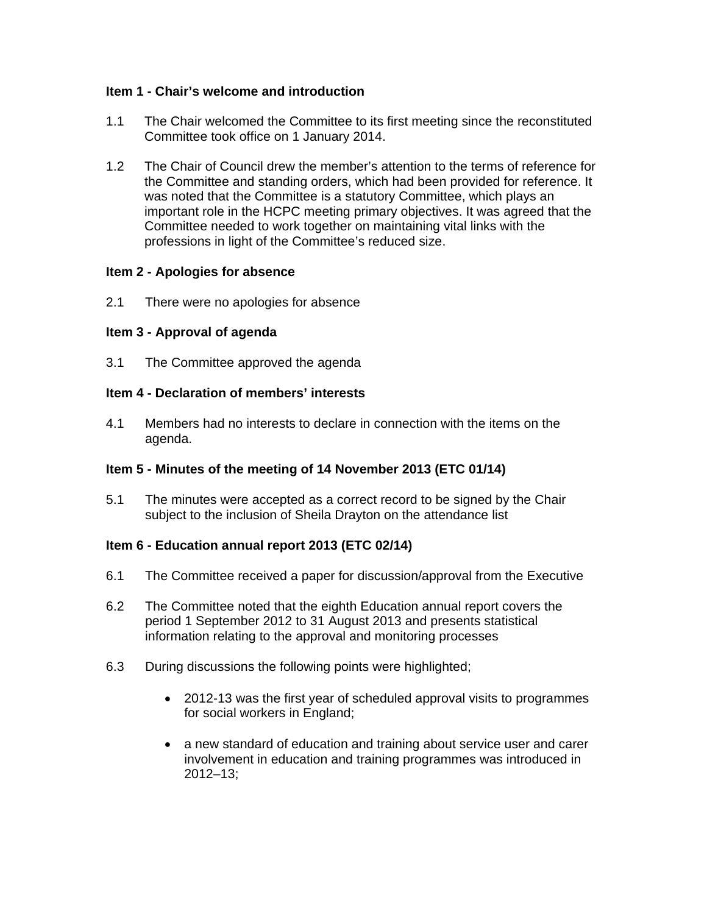## **Item 1 - Chair's welcome and introduction**

- 1.1 The Chair welcomed the Committee to its first meeting since the reconstituted Committee took office on 1 January 2014.
- 1.2 The Chair of Council drew the member's attention to the terms of reference for the Committee and standing orders, which had been provided for reference. It was noted that the Committee is a statutory Committee, which plays an important role in the HCPC meeting primary objectives. It was agreed that the Committee needed to work together on maintaining vital links with the professions in light of the Committee's reduced size.

## **Item 2 - Apologies for absence**

2.1 There were no apologies for absence

# **Item 3 - Approval of agenda**

3.1 The Committee approved the agenda

## **Item 4 - Declaration of members' interests**

4.1 Members had no interests to declare in connection with the items on the agenda.

# **Item 5 - Minutes of the meeting of 14 November 2013 (ETC 01/14)**

5.1 The minutes were accepted as a correct record to be signed by the Chair subject to the inclusion of Sheila Drayton on the attendance list

# **Item 6 - Education annual report 2013 (ETC 02/14)**

- 6.1 The Committee received a paper for discussion/approval from the Executive
- 6.2 The Committee noted that the eighth Education annual report covers the period 1 September 2012 to 31 August 2013 and presents statistical information relating to the approval and monitoring processes
- 6.3 During discussions the following points were highlighted;
	- 2012-13 was the first year of scheduled approval visits to programmes for social workers in England;
	- a new standard of education and training about service user and carer involvement in education and training programmes was introduced in 2012–13;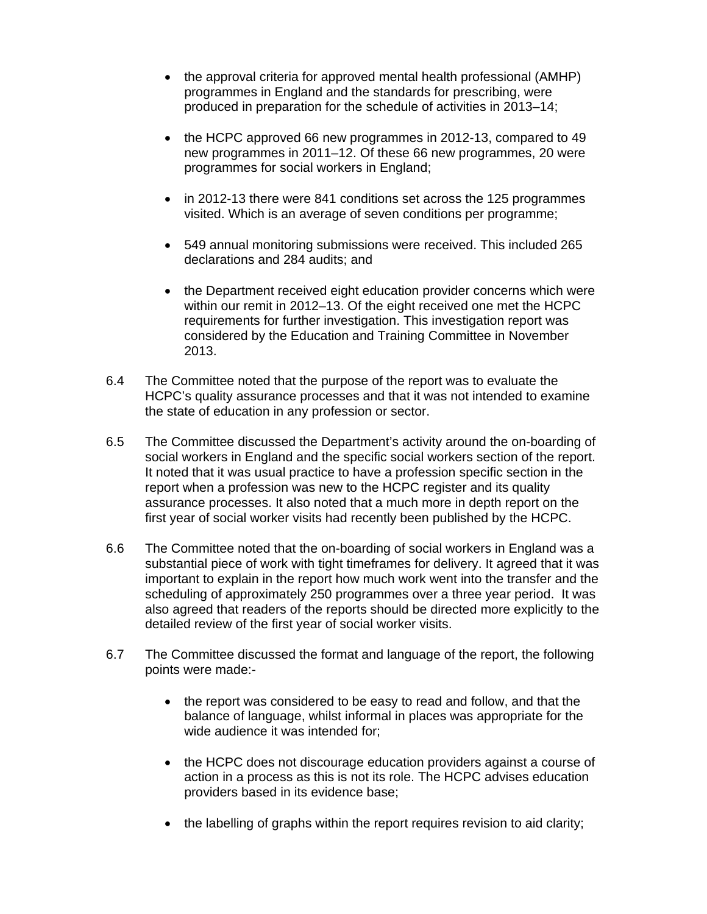- the approval criteria for approved mental health professional (AMHP) programmes in England and the standards for prescribing, were produced in preparation for the schedule of activities in 2013–14;
- the HCPC approved 66 new programmes in 2012-13, compared to 49 new programmes in 2011–12. Of these 66 new programmes, 20 were programmes for social workers in England;
- in 2012-13 there were 841 conditions set across the 125 programmes visited. Which is an average of seven conditions per programme;
- 549 annual monitoring submissions were received. This included 265 declarations and 284 audits; and
- the Department received eight education provider concerns which were within our remit in 2012–13. Of the eight received one met the HCPC requirements for further investigation. This investigation report was considered by the Education and Training Committee in November 2013.
- 6.4 The Committee noted that the purpose of the report was to evaluate the HCPC's quality assurance processes and that it was not intended to examine the state of education in any profession or sector.
- 6.5 The Committee discussed the Department's activity around the on-boarding of social workers in England and the specific social workers section of the report. It noted that it was usual practice to have a profession specific section in the report when a profession was new to the HCPC register and its quality assurance processes. It also noted that a much more in depth report on the first year of social worker visits had recently been published by the HCPC.
- 6.6 The Committee noted that the on-boarding of social workers in England was a substantial piece of work with tight timeframes for delivery. It agreed that it was important to explain in the report how much work went into the transfer and the scheduling of approximately 250 programmes over a three year period. It was also agreed that readers of the reports should be directed more explicitly to the detailed review of the first year of social worker visits.
- 6.7 The Committee discussed the format and language of the report, the following points were made:-
	- the report was considered to be easy to read and follow, and that the balance of language, whilst informal in places was appropriate for the wide audience it was intended for;
	- the HCPC does not discourage education providers against a course of action in a process as this is not its role. The HCPC advises education providers based in its evidence base;
	- the labelling of graphs within the report requires revision to aid clarity;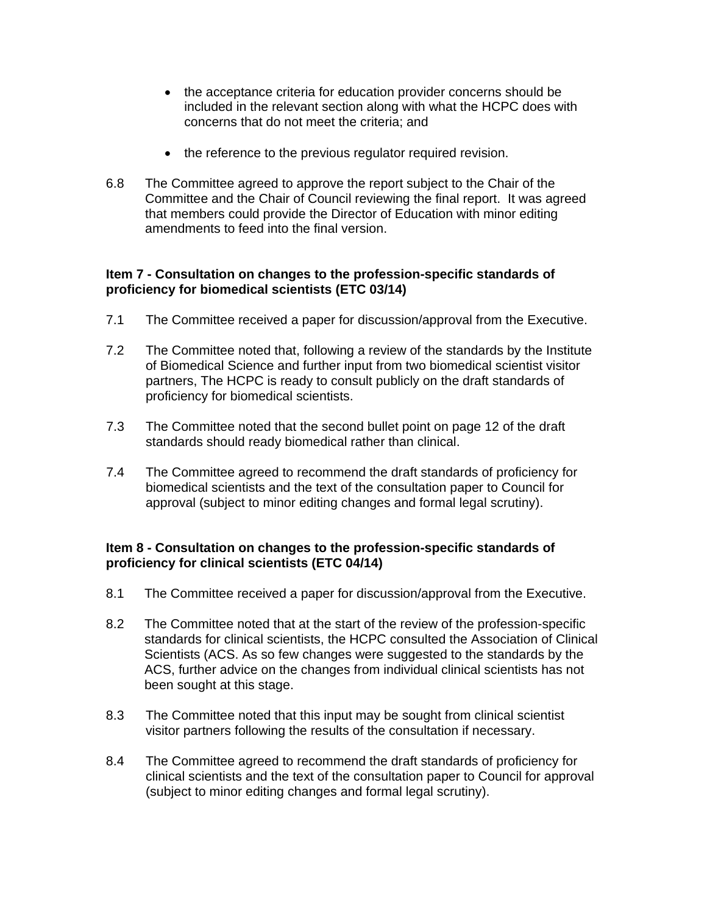- the acceptance criteria for education provider concerns should be included in the relevant section along with what the HCPC does with concerns that do not meet the criteria; and
- the reference to the previous regulator required revision.
- 6.8 The Committee agreed to approve the report subject to the Chair of the Committee and the Chair of Council reviewing the final report. It was agreed that members could provide the Director of Education with minor editing amendments to feed into the final version.

## **Item 7 - Consultation on changes to the profession-specific standards of proficiency for biomedical scientists (ETC 03/14)**

- 7.1 The Committee received a paper for discussion/approval from the Executive.
- 7.2 The Committee noted that, following a review of the standards by the Institute of Biomedical Science and further input from two biomedical scientist visitor partners, The HCPC is ready to consult publicly on the draft standards of proficiency for biomedical scientists.
- 7.3 The Committee noted that the second bullet point on page 12 of the draft standards should ready biomedical rather than clinical.
- 7.4 The Committee agreed to recommend the draft standards of proficiency for biomedical scientists and the text of the consultation paper to Council for approval (subject to minor editing changes and formal legal scrutiny).

## **Item 8 - Consultation on changes to the profession-specific standards of proficiency for clinical scientists (ETC 04/14)**

- 8.1 The Committee received a paper for discussion/approval from the Executive.
- 8.2 The Committee noted that at the start of the review of the profession-specific standards for clinical scientists, the HCPC consulted the Association of Clinical Scientists (ACS. As so few changes were suggested to the standards by the ACS, further advice on the changes from individual clinical scientists has not been sought at this stage.
- 8.3 The Committee noted that this input may be sought from clinical scientist visitor partners following the results of the consultation if necessary.
- 8.4 The Committee agreed to recommend the draft standards of proficiency for clinical scientists and the text of the consultation paper to Council for approval (subject to minor editing changes and formal legal scrutiny).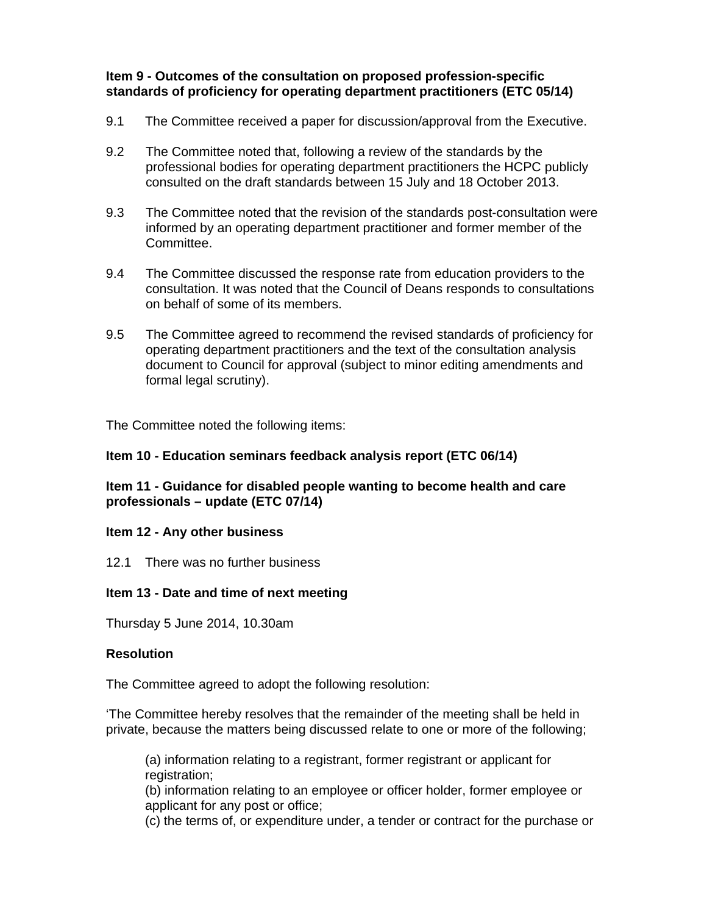**Item 9 - Outcomes of the consultation on proposed profession-specific standards of proficiency for operating department practitioners (ETC 05/14)** 

- 9.1 The Committee received a paper for discussion/approval from the Executive.
- 9.2 The Committee noted that, following a review of the standards by the professional bodies for operating department practitioners the HCPC publicly consulted on the draft standards between 15 July and 18 October 2013.
- 9.3 The Committee noted that the revision of the standards post-consultation were informed by an operating department practitioner and former member of the Committee.
- 9.4 The Committee discussed the response rate from education providers to the consultation. It was noted that the Council of Deans responds to consultations on behalf of some of its members.
- 9.5 The Committee agreed to recommend the revised standards of proficiency for operating department practitioners and the text of the consultation analysis document to Council for approval (subject to minor editing amendments and formal legal scrutiny).

The Committee noted the following items:

#### **Item 10 - Education seminars feedback analysis report (ETC 06/14)**

## **Item 11 - Guidance for disabled people wanting to become health and care professionals – update (ETC 07/14)**

#### **Item 12 - Any other business**

12.1 There was no further business

## **Item 13 - Date and time of next meeting**

Thursday 5 June 2014, 10.30am

#### **Resolution**

The Committee agreed to adopt the following resolution:

'The Committee hereby resolves that the remainder of the meeting shall be held in private, because the matters being discussed relate to one or more of the following;

(a) information relating to a registrant, former registrant or applicant for registration;

(b) information relating to an employee or officer holder, former employee or applicant for any post or office;

(c) the terms of, or expenditure under, a tender or contract for the purchase or